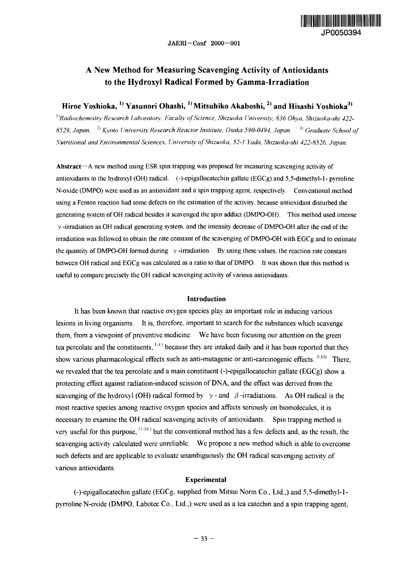

# A New Method for Measuring Scavenging Activity of Antioxidants to the Hydroxyl Radical Formed by Gamma-Irradiation

## Hiroe Yoshioka, <sup>1)</sup> Yasunori Ohashi, <sup>1)</sup> Mitsuhiko Akaboshi, <sup>2)</sup> and Hisashi Yoshioka<sup>3)</sup>

<sup>1</sup> *]Radiochemistry Research Laboratory, Faculty of Science, Shizuoka University, 836 Ohva, Shizuoka-shi 422-* 8529, Japan. <sup>2)</sup> Kyoto University Research Reactor Institute, Osaka 590-0494, Japan <sup>3)</sup> Graduate School o<sub>f</sub> *Nutritional and Environmental Sciences, University of Shizuoka, 52-1 Yada, Shizuoka-shi 422-8526, Japan.*

**Abstract**—A new method using ESR spin trapping was proposed for measuring scavenging activity of antioxidants to the hydroxyl (OH) radical, (-)-epigallocatechin gallate (EGCg) and 5,5-dimethyl-l- pyrroline N-oxide (DMPO) were used as an antioxidant and a spin trapping agent, respectively. Conventional method using a Fenton reaction had some defects on the estimation of the activity, because antioxidant disturbed the generating system of OH radical besides it scavenged the spin adduct (DMPO-OH). This method used intense  $\gamma$ -irradiation as OH radical generating system, and the intensity decrease of DMPO-OH after the end of the irradiation was followed to obtain the rate constant of the scavenging of DMPO-OH with EGCg and to estimate the quantity of DMPO-OH formed during  $\gamma$ -irradiation. By using these values, the reaction rate constant between OH radical and EGCg was calculated as a ratio to that of DMPO. It was shown that this method is useful to compare precisely the OH radical scavenging activity of various antioxidants.

## **Introduction**

It has been known that reactive oxygen species play an important role in inducing various lesions in living organisms. It is, therefore, important to search for the substances which scavenge them, from a viewpoint of preventive medicine. We have been focusing our attention on the green tea percolate and the constituents, <sup>14</sup> because they are intaked daily and it has been reported that they show various pharmacological effects such as anti-mutagenic or anti-carcinogenic effects.  $5-10$ ) There, we revealed that the tea percolate and a main constituent (-)-epigallocatechin gallate (EGCg) show a protecting effect against radiation-induced scission of DNA, and the effect was derived from the scavenging of the hydroxyl (OH) radical formed by  $\gamma$ -and  $\beta$ -irradiations. As OH radical is the most reactive species among reactive oxygen species and affects seriously on biomolecules, it is necessary to examine the OH radical scavenging activity of antioxidants. Spin trapping method is very useful for this purpose,  $11-14$ ) but the conventional method has a few defects and, as the result, the scavenging activity calculated were unreliable. We propose a new method which is able to overcome such defects and are applicable to evaluate unambiguously the OH radical scavenging activity of various antioxidants.

## **Experimental**

(-)-epigallocatechin gallate (EGCg. supplied from Mitsui Norin Co., Ltd.,) and 5,5-dimethyl-lpyrroline N-oxide (DMPO, Labotec Co., Ltd.,) were used as a tea catechin and a spin trapping agent,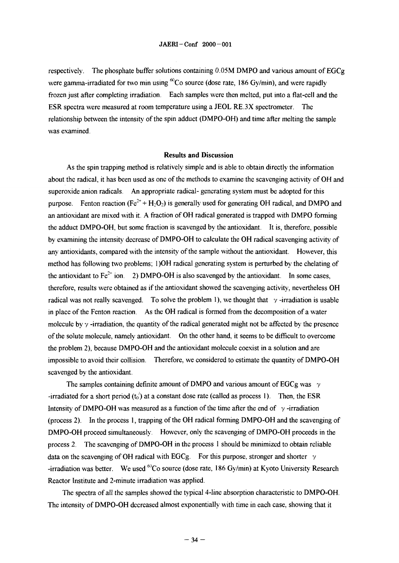respectively. The phosphate buffer solutions containing  $0.05M$  DMPO and various amount of EGCg were gamma-irradiated for two min using  ${}^{60}Co$  source (dose rate, 186 Gy/min), and were rapidly frozen just after completing irradiation. Each samples were then melted, put into a flat-cell and the ESR spectra were measured at room temperature using a JEOL RE.3X spectrometer. The relationship between the intensity of the spin adduct (DMPO-OH) and time after melting the sample was examined.

## **Results and Discussion**

As the spin trapping method is relatively simple and is able to obtain directly the information about the radical, it has been used as one of the methods to examine the scavenging activity of OH and superoxide anion radicals. An appropriate radical- generating system must be adopted for this purpose. Fenton reaction ( $Fe^{2+} + H_2O_2$ ) is generally used for generating OH radical, and DMPO and an antioxidant are mixed with it. A fraction of OH radical generated is trapped with DMPO forming the adduct DMPO-OH, but some fraction is scavenged by the antioxidant. It is, therefore, possible by examining the intensity decrease of DMPO-OH to calculate the OH radical scavenging activity of any antioxidants, compared with the intensity of the sample without the antioxidant. However, this method has following two problems; 1)OH radical generating system is perturbed by the chelating of the antioxidant to  $Fe^{2+}$  ion. 2) DMPO-OH is also scavenged by the antioxidant. In some cases, therefore, results were obtained as if the antioxidant showed the scavenging activity, nevertheless OH radical was not really scavenged. To solve the problem 1), we thought that  $\gamma$ -irradiation is usable in place of the Fenton reaction. As the OH radical is formed from the decomposition of a water molecule by  $\gamma$  -irradiation, the quantity of the radical generated might not be affected by the presence of the solute molecule, namely antioxidant. On the other hand, it seems to be difficult to overcome the problem 2), because DMPO-OH and the antioxidant molecule coexist in a solution and are impossible to avoid their collision. Therefore, we considered to estimate the quantity of DMPO-OH scavenged by the antioxidant.

The samples containing definite amount of DMPO and various amount of EGCg was  $\gamma$ -irradiated for a short period (t<sub>0</sub>) at a constant dose rate (called as process 1). Then, the ESR Intensity of DMPO-OH was measured as a function of the time after the end of  $\gamma$ -irradiation (process 2). In the process 1, trapping of the OH radical forming DMPO-OH and the scavenging of DMPO-OH proceed simultaneously. However, only the scavenging of DMPO-OH proceeds in the process 2. The scavenging of DMPO-OH in the process 1 should be minimized to obtain reliable data on the scavenging of OH radical with EGCg. For this purpose, stronger and shorter  $\gamma$ -irradiation was better. We used <sup>60</sup>Co source (dose rate, 186 Gy/min) at Kyoto University Research Reactor Institute and 2-minute irradiation was applied.

The spectra of all the samples showed the typical 4-line absorption characteristic to DMPO-OH. The intensity of DMPO-OH decreased almost exponentially with time in each case, showing that it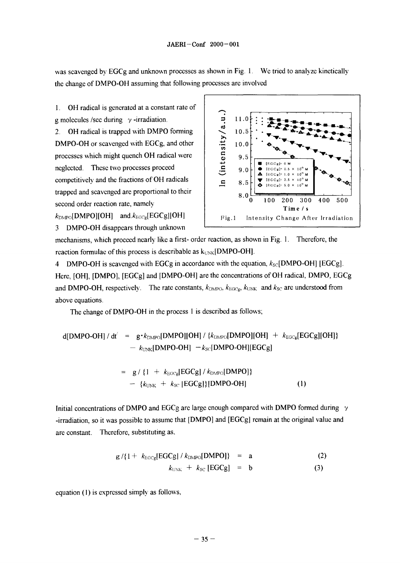was scavenged by EGCg and unknown processes as shown in Fig. 1. We tried to analyze kinetically the change of DMPO-OH assuming that following processes are involved

1. OH radical is generated at a constant rate of g molecules /sec during  $\gamma$  -irradiation.

2. OH radical is trapped with DMPO forming DMPO-OH or scavenged with EGCg, and other processes which might quench OH radical were neglected. These two processes proceed competitively and the fractions of OH radicals trapped and scavenged are proportional to their second order reaction rate, namely

 $k_{\text{DMPO}}$ [DMPO][OH] and. $k_{\text{EGCg}}$ [EGCg][OH]

3 DMPO-OH disappears through unknown



mechanisms, which proceed nearly like a first- order reaction, as shown in Fig. 1. Therefore, the reaction formulae of this process is describable as  $k_{UNK}[DMPO-OH]$ .

4 DMPO-OH is scavenged with EGCg in accordance with the equation,  $k_{\text{SC}}[\text{DMPO-OH}]$  [EGCg]. Here, [OH], [DMPO], [EGCg] and [DMPO-OH] are the concentrations of OH radical, DMPO, EGCg and DMPO-OH, respectively. The rate constants,  $k_{\text{DMPO}}$ ,  $k_{\text{EGCg}}$ ,  $k_{\text{UNK}}$  and  $k_{\text{SC}}$  are understood from above equations.

The change of DMPO-OH in the process 1 is described as follows;

$$
d[DMPO-OH]/dt' = g \cdot k_{DMPO}[DMPO][OH]/\{k_{DMPO}[DMPO][OH] + k_{EGCg}[EGCg][OH]\}
$$
  
- k\_{UNK}[DMPO-OH] - k\_{SC}[DMPO-OH][EGCg]

$$
= g / \{1 + k_{\text{EGCg}}[\text{EGCg}] / k_{\text{DMPO}}[\text{DMPO}]\}
$$
  
- {k\_{\text{UNK}} + k\_{\text{SC}}[\text{EGCg}]}\{\text{DMPO-OH}] \t(1)

Initial concentrations of DMPO and EGCg are large enough compared with DMPO formed during *y* -irradiation, so it was possible to assume that [DMPO] and [EGCg] remain at the original value and are constant. Therefore, substituting as.

$$
g / \{1 + k_{\text{EGCg}}[\text{EGCg}]/k_{\text{DMPO}}[\text{DMPO}]\} = a \qquad (2)
$$
  

$$
k_{\text{UNK}} + k_{\text{SC}}[\text{EGCg}] = b \qquad (3)
$$

equation (1) is expressed simply as follows,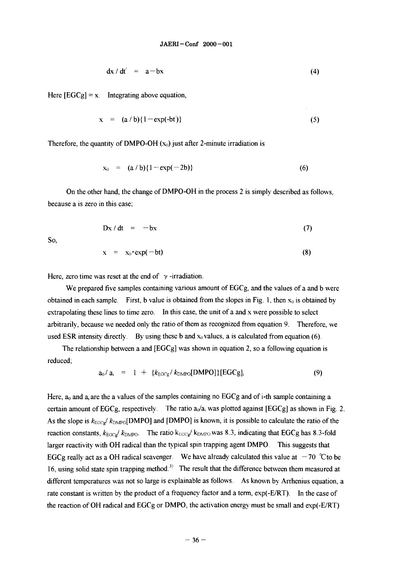$$
dx/dt' = a-bx \tag{4}
$$

Here  $[EGCg] = x$ . Integrating above equation,

$$
x = (a/b){1 - exp(-bt)}
$$
 (5)

Therefore, the quantity of DMPO-OH  $(x_0)$  just after 2-minute irradiation is

$$
x_0 = (a/b){1 - exp(-2b)}
$$
 (6)

On the other hand, the change of DMPO-OH in the process 2 is simply described as follows, because a is zero in this case;

$$
Dx/dt = -bx \tag{7}
$$

So,

$$
x = x_0 \cdot \exp(-bt) \tag{8}
$$

Here, zero time was reset at the end of  $\gamma$ -irradiation.

We prepared five samples containing various amount of EGCg, and the values of a and b were obtained in each sample. First, b value is obtained from the slopes in Fig. 1, then  $x_0$  is obtained by extrapolating these lines to time zero. In this case, the unit of a and x were possible to select arbitrarily, because we needed only the ratio of them as recognized from equation 9. Therefore, we used ESR intensity directly. By using these b and  $x_0$  values, a is calculated from equation (6).

The relationship between a and  $[EGCg]$  was shown in equation 2, so a following equation is reduced;

$$
a_0/a_i = 1 + \{k_{\text{EGCg}}/k_{\text{DMPO}}[\text{DMPO}]\}[\text{EGCg}]_i \tag{9}
$$

Here,  $a_0$  and  $a_i$  are the a values of the samples containing no EGCg and of i-th sample containing a certain amount of EGCg, respectively. The ratio  $a_0/a_i$  was plotted against [EGCg] as shown in Fig. 2. As the slope is  $k_{\text{EGCg}}/k_{\text{DMPO}}$ [DMPO] and [DMPO] is known, it is possible to calculate the ratio of the reaction constants,  $k_{\text{EGCg}}/ k_{\text{DMPO}}$ . The ratio  $k_{\text{EGCg}}/ k_{\text{DMPO}}$  was 8.3, indicating that EGCg has 8.3-fold larger reactivity with OH radical than the typical spin trapping agent DMPO. This suggests that EGCg really act as a OH radical scavenger. We have already calculated this value at  $-70$  °Cto be 16, using solid state spin trapping method.<sup>3)</sup> The result that the difference between them measured at different temperatures was not so large is explainable as follows. As known by Arrhenius equation, a rate constant is written by the product of a frequency factor and a term, exp(-E/RT). In the case of the reaction of OH radical and EGCg or DMPO, the activation energy must be small and exp(-E/RT)